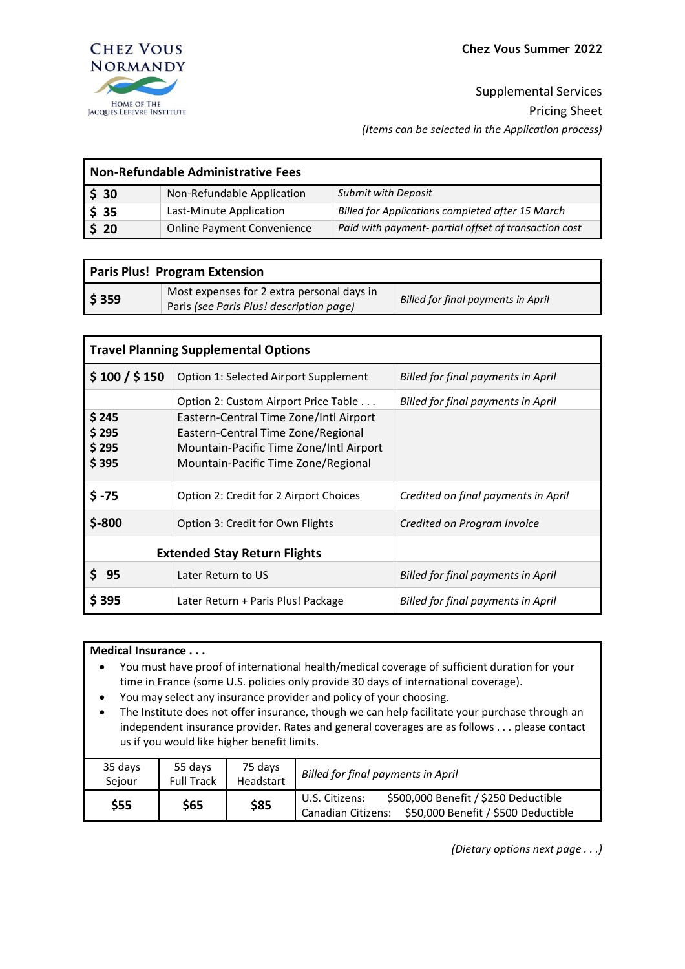Supplemental Services Pricing Sheet *(Items can be selected in the Application process)*

| <b>Non-Refundable Administrative Fees</b> |                                   |                                                       |  |  |
|-------------------------------------------|-----------------------------------|-------------------------------------------------------|--|--|
| \$30                                      | Non-Refundable Application        | <b>Submit with Deposit</b>                            |  |  |
| \$35                                      | Last-Minute Application           | Billed for Applications completed after 15 March      |  |  |
| $\frac{1}{2}$ 20                          | <b>Online Payment Convenience</b> | Paid with payment- partial offset of transaction cost |  |  |

| <b>Paris Plus! Program Extension</b> |                                                                                        |                                           |  |  |
|--------------------------------------|----------------------------------------------------------------------------------------|-------------------------------------------|--|--|
| $\frac{1}{2}$ \$ 359                 | Most expenses for 2 extra personal days in<br>Paris (see Paris Plus! description page) | <b>Billed for final payments in April</b> |  |  |

| <b>Travel Planning Supplemental Options</b> |                                                                                                                                                                                                        |                                           |  |  |
|---------------------------------------------|--------------------------------------------------------------------------------------------------------------------------------------------------------------------------------------------------------|-------------------------------------------|--|--|
| \$100 / \$150                               | Option 1: Selected Airport Supplement                                                                                                                                                                  | Billed for final payments in April        |  |  |
| \$245<br>\$295<br>\$295<br>\$395            | Option 2: Custom Airport Price Table<br>Eastern-Central Time Zone/Intl Airport<br>Eastern-Central Time Zone/Regional<br>Mountain-Pacific Time Zone/Intl Airport<br>Mountain-Pacific Time Zone/Regional | <b>Billed for final payments in April</b> |  |  |
| $$ -75$                                     | Option 2: Credit for 2 Airport Choices                                                                                                                                                                 | Credited on final payments in April       |  |  |
| $$ -800$                                    | Option 3: Credit for Own Flights                                                                                                                                                                       | Credited on Program Invoice               |  |  |
|                                             | <b>Extended Stay Return Flights</b>                                                                                                                                                                    |                                           |  |  |
| S 95                                        | Later Return to US                                                                                                                                                                                     | Billed for final payments in April        |  |  |
| \$395                                       | Later Return + Paris Plus! Package                                                                                                                                                                     | Billed for final payments in April        |  |  |

## **Medical Insurance . . .**

- You must have proof of international health/medical coverage of sufficient duration for your time in France (some U.S. policies only provide 30 days of international coverage).
- You may select any insurance provider and policy of your choosing.
- The Institute does not offer insurance, though we can help facilitate your purchase through an independent insurance provider. Rates and general coverages are as follows . . . please contact us if you would like higher benefit limits.

| 35 days | 55 days           | 75 days   | <b>Billed for final payments in April</b>                                                                                  |
|---------|-------------------|-----------|----------------------------------------------------------------------------------------------------------------------------|
| Seiour  | <b>Full Track</b> | Headstart |                                                                                                                            |
| \$55    | \$65              | \$85      | \$500,000 Benefit / \$250 Deductible<br>U.S. Citizens:<br>\$50,000 Benefit / \$500 Deductible<br><b>Canadian Citizens:</b> |

*(Dietary options next page . . .)*